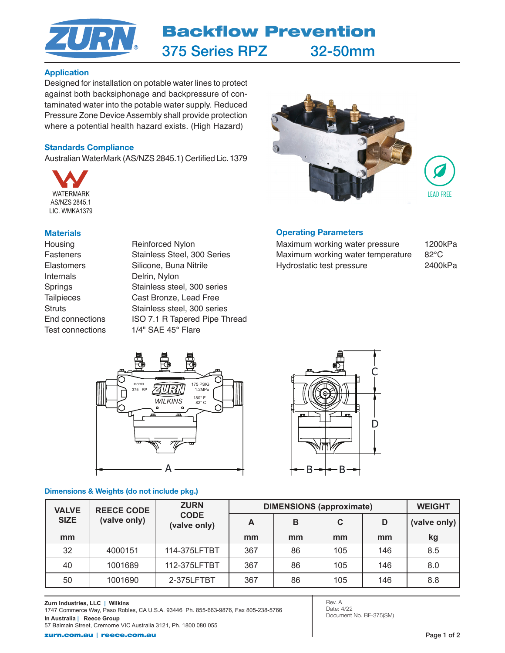

# Application

Designed for installation on potable water lines to protect against both backsiphonage and backpressure of contaminated water into the potable water supply. Reduced Pressure Zone Device Assembly shall provide protection where a potential health hazard exists. (High Hazard)

## Standards Compliance

Australian WaterMark (AS/NZS 2845.1) Certified Lic. 1379



### **Materials**

Housing Reinforced Nylon Internals Delrin, Nylon

Fasteners Stainless Steel, 300 Series Elastomers Silicone, Buna Nitrile Springs Stainless steel, 300 series Tailpieces Cast Bronze, Lead Free Struts Stainless steel, 300 series End connections ISO 7.1 R Tapered Pipe Thread Test connections 1/4" SAE 45° Flare



# Operating Parameters

Maximum working water pressure 1200kPa Maximum working water temperature 82°C Hydrostatic test pressure 2400kPa



# Dimensions & Weights (do not include pkg.)



| <b>VALVE</b><br><b>SIZE</b> | <b>REECE CODE</b><br>(valve only) | <b>ZURN</b><br><b>CODE</b><br>(valve only) | <b>DIMENSIONS (approximate)</b> |    |     |     | <b>WEIGHT</b> |
|-----------------------------|-----------------------------------|--------------------------------------------|---------------------------------|----|-----|-----|---------------|
|                             |                                   |                                            | A                               | B  | C   | D   | (valve only)  |
| mm                          |                                   |                                            | mm                              | mm | mm  | mm  | kg            |
| 32                          | 4000151                           | 114-375LFTBT                               | 367                             | 86 | 105 | 146 | 8.5           |
| 40                          | 1001689                           | 112-375LFTBT                               | 367                             | 86 | 105 | 146 | 8.0           |
| 50                          | 1001690                           | 2-375LFTBT                                 | 367                             | 86 | 105 | 146 | 8.8           |

Rev. A Date: 4/22 Document No. BF-375(SM)